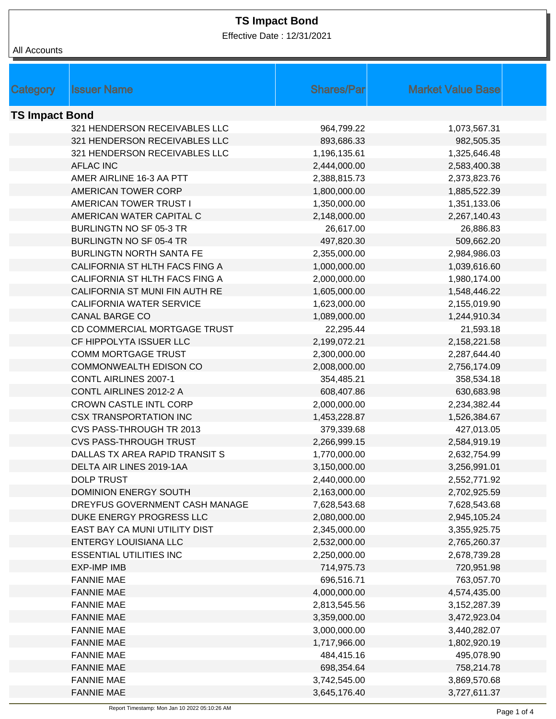Effective Date : 12/31/2021

| All Accounts          |                                 |                   |                          |
|-----------------------|---------------------------------|-------------------|--------------------------|
|                       |                                 |                   |                          |
|                       |                                 |                   |                          |
| Category              | <b>Issuer Name</b>              | <b>Shares/Par</b> | <b>Market Value Base</b> |
| <b>TS Impact Bond</b> |                                 |                   |                          |
|                       | 321 HENDERSON RECEIVABLES LLC   | 964,799.22        | 1,073,567.31             |
|                       | 321 HENDERSON RECEIVABLES LLC   | 893,686.33        | 982,505.35               |
|                       | 321 HENDERSON RECEIVABLES LLC   | 1,196,135.61      | 1,325,646.48             |
|                       | <b>AFLAC INC</b>                | 2,444,000.00      | 2,583,400.38             |
|                       | AMER AIRLINE 16-3 AA PTT        | 2,388,815.73      | 2,373,823.76             |
|                       | AMERICAN TOWER CORP             | 1,800,000.00      | 1,885,522.39             |
|                       | AMERICAN TOWER TRUST I          | 1,350,000.00      | 1,351,133.06             |
|                       | AMERICAN WATER CAPITAL C        | 2,148,000.00      | 2,267,140.43             |
|                       | BURLINGTN NO SF 05-3 TR         | 26,617.00         | 26,886.83                |
|                       | <b>BURLINGTN NO SF 05-4 TR</b>  | 497,820.30        | 509,662.20               |
|                       | <b>BURLINGTN NORTH SANTA FE</b> | 2,355,000.00      | 2,984,986.03             |
|                       | CALIFORNIA ST HLTH FACS FING A  | 1,000,000.00      | 1,039,616.60             |
|                       | CALIFORNIA ST HLTH FACS FING A  | 2,000,000.00      | 1,980,174.00             |
|                       | CALIFORNIA ST MUNI FIN AUTH RE  | 1,605,000.00      | 1,548,446.22             |
|                       | <b>CALIFORNIA WATER SERVICE</b> | 1,623,000.00      | 2,155,019.90             |
|                       | <b>CANAL BARGE CO</b>           | 1,089,000.00      | 1,244,910.34             |
|                       | CD COMMERCIAL MORTGAGE TRUST    | 22,295.44         | 21,593.18                |
|                       | CF HIPPOLYTA ISSUER LLC         | 2,199,072.21      | 2,158,221.58             |
|                       | <b>COMM MORTGAGE TRUST</b>      | 2,300,000.00      | 2,287,644.40             |
|                       | COMMONWEALTH EDISON CO          | 2,008,000.00      | 2,756,174.09             |
|                       | <b>CONTL AIRLINES 2007-1</b>    | 354,485.21        | 358,534.18               |
|                       | CONTL AIRLINES 2012-2 A         | 608,407.86        | 630,683.98               |
|                       | <b>CROWN CASTLE INTL CORP</b>   | 2,000,000.00      | 2,234,382.44             |
|                       | <b>CSX TRANSPORTATION INC</b>   | 1,453,228.87      | 1,526,384.67             |
|                       | CVS PASS-THROUGH TR 2013        | 379,339.68        | 427,013.05               |
|                       | <b>CVS PASS-THROUGH TRUST</b>   | 2,266,999.15      | 2,584,919.19             |
|                       | DALLAS TX AREA RAPID TRANSIT S  | 1,770,000.00      | 2,632,754.99             |
|                       | DELTA AIR LINES 2019-1AA        | 3,150,000.00      | 3,256,991.01             |
|                       | <b>DOLP TRUST</b>               | 2,440,000.00      | 2,552,771.92             |
|                       | <b>DOMINION ENERGY SOUTH</b>    | 2,163,000.00      | 2,702,925.59             |
|                       | DREYFUS GOVERNMENT CASH MANAGE  | 7,628,543.68      | 7,628,543.68             |
|                       | DUKE ENERGY PROGRESS LLC        | 2,080,000.00      | 2,945,105.24             |
|                       | EAST BAY CA MUNI UTILITY DIST   | 2,345,000.00      | 3,355,925.75             |
|                       | ENTERGY LOUISIANA LLC           | 2,532,000.00      | 2,765,260.37             |
|                       | <b>ESSENTIAL UTILITIES INC</b>  | 2,250,000.00      | 2,678,739.28             |
|                       | <b>EXP-IMP IMB</b>              | 714,975.73        | 720,951.98               |
|                       | <b>FANNIE MAE</b>               | 696,516.71        | 763,057.70               |
|                       | <b>FANNIE MAE</b>               | 4,000,000.00      | 4,574,435.00             |
|                       | <b>FANNIE MAE</b>               | 2,813,545.56      | 3, 152, 287. 39          |
|                       | <b>FANNIE MAE</b>               | 3,359,000.00      | 3,472,923.04             |
|                       | <b>FANNIE MAE</b>               | 3,000,000.00      | 3,440,282.07             |
|                       | <b>FANNIE MAE</b>               | 1,717,966.00      | 1,802,920.19             |
|                       | <b>FANNIE MAE</b>               | 484,415.16        | 495,078.90               |
|                       | <b>FANNIE MAE</b>               | 698,354.64        | 758,214.78               |
|                       | <b>FANNIE MAE</b>               | 3,742,545.00      | 3,869,570.68             |
|                       | <b>FANNIE MAE</b>               | 3,645,176.40      | 3,727,611.37             |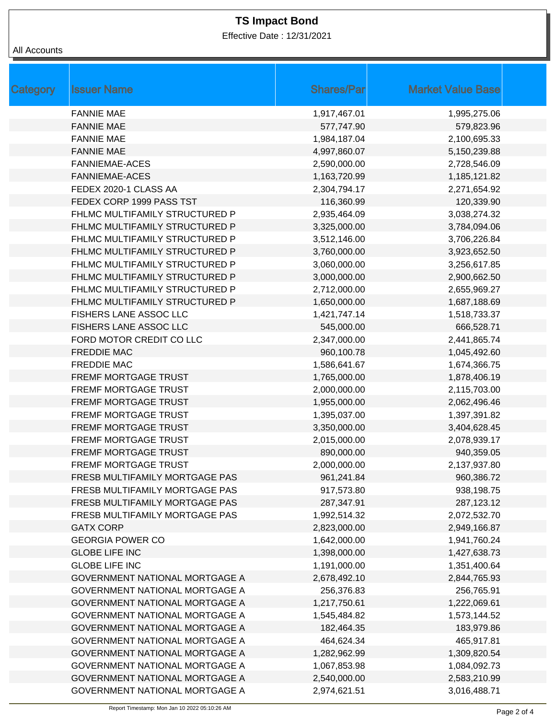Effective Date : 12/31/2021

### All Accounts

| Category | <b>Issuer Name</b>                    | <b>Shares/Par</b> | <b>Market Value Base</b> |
|----------|---------------------------------------|-------------------|--------------------------|
|          | <b>FANNIE MAE</b>                     | 1,917,467.01      | 1,995,275.06             |
|          | <b>FANNIE MAE</b>                     | 577,747.90        | 579,823.96               |
|          | <b>FANNIE MAE</b>                     | 1,984,187.04      | 2,100,695.33             |
|          | <b>FANNIE MAE</b>                     | 4,997,860.07      | 5,150,239.88             |
|          | <b>FANNIEMAE-ACES</b>                 | 2,590,000.00      | 2,728,546.09             |
|          | <b>FANNIEMAE-ACES</b>                 | 1,163,720.99      | 1,185,121.82             |
|          | FEDEX 2020-1 CLASS AA                 | 2,304,794.17      | 2,271,654.92             |
|          | FEDEX CORP 1999 PASS TST              | 116,360.99        | 120,339.90               |
|          | FHLMC MULTIFAMILY STRUCTURED P        | 2,935,464.09      | 3,038,274.32             |
|          | FHLMC MULTIFAMILY STRUCTURED P        | 3,325,000.00      | 3,784,094.06             |
|          | FHLMC MULTIFAMILY STRUCTURED P        | 3,512,146.00      | 3,706,226.84             |
|          | FHLMC MULTIFAMILY STRUCTURED P        | 3,760,000.00      | 3,923,652.50             |
|          | FHLMC MULTIFAMILY STRUCTURED P        | 3,060,000.00      | 3,256,617.85             |
|          | FHLMC MULTIFAMILY STRUCTURED P        | 3,000,000.00      | 2,900,662.50             |
|          | FHLMC MULTIFAMILY STRUCTURED P        | 2,712,000.00      | 2,655,969.27             |
|          | FHLMC MULTIFAMILY STRUCTURED P        | 1,650,000.00      | 1,687,188.69             |
|          | FISHERS LANE ASSOC LLC                | 1,421,747.14      | 1,518,733.37             |
|          | FISHERS LANE ASSOC LLC                | 545,000.00        | 666,528.71               |
|          | FORD MOTOR CREDIT CO LLC              | 2,347,000.00      | 2,441,865.74             |
|          | <b>FREDDIE MAC</b>                    | 960,100.78        | 1,045,492.60             |
|          | <b>FREDDIE MAC</b>                    | 1,586,641.67      | 1,674,366.75             |
|          | <b>FREMF MORTGAGE TRUST</b>           | 1,765,000.00      | 1,878,406.19             |
|          | FREMF MORTGAGE TRUST                  | 2,000,000.00      | 2,115,703.00             |
|          | <b>FREMF MORTGAGE TRUST</b>           | 1,955,000.00      | 2,062,496.46             |
|          | <b>FREMF MORTGAGE TRUST</b>           | 1,395,037.00      | 1,397,391.82             |
|          | <b>FREMF MORTGAGE TRUST</b>           | 3,350,000.00      | 3,404,628.45             |
|          | <b>FREMF MORTGAGE TRUST</b>           | 2,015,000.00      | 2,078,939.17             |
|          | <b>FREMF MORTGAGE TRUST</b>           | 890,000.00        | 940,359.05               |
|          | <b>FREMF MORTGAGE TRUST</b>           | 2,000,000.00      | 2,137,937.80             |
|          | FRESB MULTIFAMILY MORTGAGE PAS        | 961,241.84        | 960,386.72               |
|          | FRESB MULTIFAMILY MORTGAGE PAS        | 917,573.80        | 938,198.75               |
|          | FRESB MULTIFAMILY MORTGAGE PAS        | 287,347.91        | 287,123.12               |
|          | FRESB MULTIFAMILY MORTGAGE PAS        | 1,992,514.32      | 2,072,532.70             |
|          | <b>GATX CORP</b>                      | 2,823,000.00      | 2,949,166.87             |
|          | <b>GEORGIA POWER CO</b>               | 1,642,000.00      | 1,941,760.24             |
|          | <b>GLOBE LIFE INC</b>                 | 1,398,000.00      | 1,427,638.73             |
|          | <b>GLOBE LIFE INC</b>                 | 1,191,000.00      | 1,351,400.64             |
|          | <b>GOVERNMENT NATIONAL MORTGAGE A</b> | 2,678,492.10      | 2,844,765.93             |
|          | <b>GOVERNMENT NATIONAL MORTGAGE A</b> | 256,376.83        | 256,765.91               |
|          | <b>GOVERNMENT NATIONAL MORTGAGE A</b> | 1,217,750.61      | 1,222,069.61             |
|          | GOVERNMENT NATIONAL MORTGAGE A        | 1,545,484.82      | 1,573,144.52             |
|          | <b>GOVERNMENT NATIONAL MORTGAGE A</b> | 182,464.35        | 183,979.86               |
|          | GOVERNMENT NATIONAL MORTGAGE A        | 464,624.34        | 465,917.81               |
|          | <b>GOVERNMENT NATIONAL MORTGAGE A</b> | 1,282,962.99      | 1,309,820.54             |
|          | <b>GOVERNMENT NATIONAL MORTGAGE A</b> | 1,067,853.98      | 1,084,092.73             |
|          | <b>GOVERNMENT NATIONAL MORTGAGE A</b> | 2,540,000.00      | 2,583,210.99             |
|          | GOVERNMENT NATIONAL MORTGAGE A        | 2,974,621.51      | 3,016,488.71             |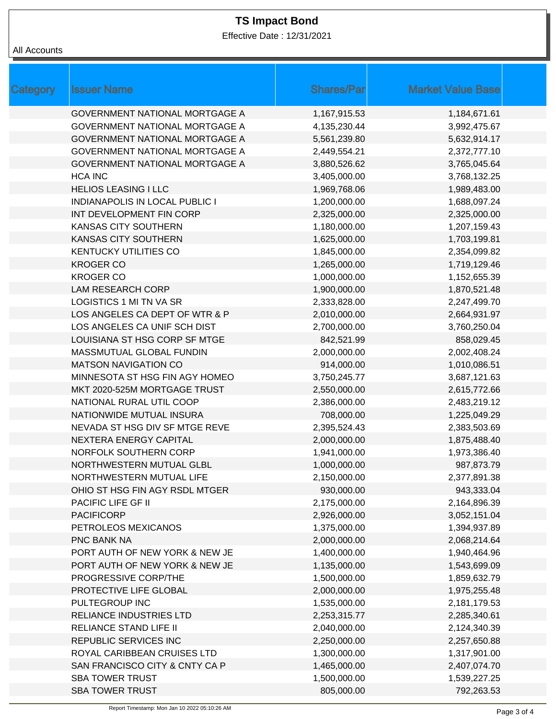Effective Date : 12/31/2021

| Category | <b>Issuer Name</b>                    | <b>Shares/Par</b> | <b>Market Value Base</b> |
|----------|---------------------------------------|-------------------|--------------------------|
|          | <b>GOVERNMENT NATIONAL MORTGAGE A</b> | 1,167,915.53      | 1,184,671.61             |
|          | GOVERNMENT NATIONAL MORTGAGE A        | 4,135,230.44      | 3,992,475.67             |
|          | GOVERNMENT NATIONAL MORTGAGE A        | 5,561,239.80      | 5,632,914.17             |
|          | <b>GOVERNMENT NATIONAL MORTGAGE A</b> | 2,449,554.21      | 2,372,777.10             |
|          | GOVERNMENT NATIONAL MORTGAGE A        | 3,880,526.62      | 3,765,045.64             |
|          | <b>HCA INC</b>                        | 3,405,000.00      | 3,768,132.25             |
|          | <b>HELIOS LEASING I LLC</b>           | 1,969,768.06      | 1,989,483.00             |
|          | <b>INDIANAPOLIS IN LOCAL PUBLIC I</b> | 1,200,000.00      | 1,688,097.24             |
|          | INT DEVELOPMENT FIN CORP              | 2,325,000.00      | 2,325,000.00             |
|          | <b>KANSAS CITY SOUTHERN</b>           | 1,180,000.00      | 1,207,159.43             |
|          | <b>KANSAS CITY SOUTHERN</b>           | 1,625,000.00      | 1,703,199.81             |
|          | <b>KENTUCKY UTILITIES CO</b>          | 1,845,000.00      | 2,354,099.82             |
|          | <b>KROGER CO</b>                      | 1,265,000.00      | 1,719,129.46             |
|          | <b>KROGER CO</b>                      | 1,000,000.00      | 1,152,655.39             |
|          | <b>LAM RESEARCH CORP</b>              | 1,900,000.00      | 1,870,521.48             |
|          | <b>LOGISTICS 1 MI TN VA SR</b>        | 2,333,828.00      | 2,247,499.70             |
|          | LOS ANGELES CA DEPT OF WTR & P        | 2,010,000.00      | 2,664,931.97             |
|          | LOS ANGELES CA UNIF SCH DIST          | 2,700,000.00      | 3,760,250.04             |
|          | LOUISIANA ST HSG CORP SF MTGE         | 842,521.99        | 858,029.45               |
|          | MASSMUTUAL GLOBAL FUNDIN              | 2,000,000.00      | 2,002,408.24             |
|          | <b>MATSON NAVIGATION CO</b>           | 914,000.00        | 1,010,086.51             |
|          | MINNESOTA ST HSG FIN AGY HOMEO        | 3,750,245.77      | 3,687,121.63             |
|          | MKT 2020-525M MORTGAGE TRUST          | 2,550,000.00      | 2,615,772.66             |
|          | NATIONAL RURAL UTIL COOP              | 2,386,000.00      | 2,483,219.12             |
|          | NATIONWIDE MUTUAL INSURA              | 708,000.00        | 1,225,049.29             |
|          | NEVADA ST HSG DIV SF MTGE REVE        | 2,395,524.43      | 2,383,503.69             |
|          | NEXTERA ENERGY CAPITAL                | 2,000,000.00      | 1,875,488.40             |
|          | NORFOLK SOUTHERN CORP                 | 1,941,000.00      | 1,973,386.40             |
|          | NORTHWESTERN MUTUAL GLBL              | 1,000,000.00      | 987,873.79               |
|          | NORTHWESTERN MUTUAL LIFE              | 2,150,000.00      | 2,377,891.38             |
|          | OHIO ST HSG FIN AGY RSDL MTGER        | 930,000.00        | 943,333.04               |
|          | PACIFIC LIFE GF II                    | 2,175,000.00      | 2,164,896.39             |
|          | <b>PACIFICORP</b>                     | 2,926,000.00      | 3,052,151.04             |
|          | PETROLEOS MEXICANOS                   | 1,375,000.00      | 1,394,937.89             |
|          | PNC BANK NA                           | 2,000,000.00      | 2,068,214.64             |
|          | PORT AUTH OF NEW YORK & NEW JE        | 1,400,000.00      | 1,940,464.96             |
|          | PORT AUTH OF NEW YORK & NEW JE        | 1,135,000.00      | 1,543,699.09             |
|          | PROGRESSIVE CORP/THE                  | 1,500,000.00      | 1,859,632.79             |
|          | PROTECTIVE LIFE GLOBAL                | 2,000,000.00      | 1,975,255.48             |
|          | PULTEGROUP INC                        | 1,535,000.00      | 2,181,179.53             |
|          | RELIANCE INDUSTRIES LTD               | 2,253,315.77      | 2,285,340.61             |
|          | RELIANCE STAND LIFE II                | 2,040,000.00      | 2,124,340.39             |
|          | REPUBLIC SERVICES INC                 | 2,250,000.00      | 2,257,650.88             |
|          | ROYAL CARIBBEAN CRUISES LTD           | 1,300,000.00      | 1,317,901.00             |
|          | SAN FRANCISCO CITY & CNTY CA P        | 1,465,000.00      | 2,407,074.70             |
|          | <b>SBA TOWER TRUST</b>                | 1,500,000.00      | 1,539,227.25             |
|          | <b>SBA TOWER TRUST</b>                | 805,000.00        | 792,263.53               |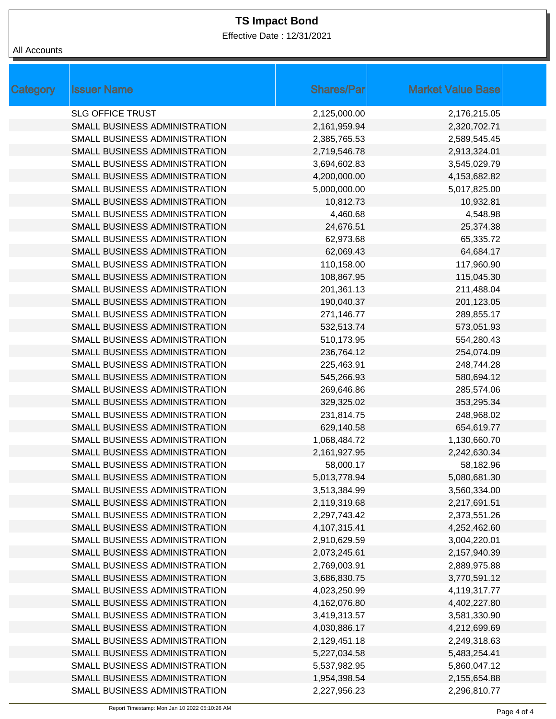Effective Date : 12/31/2021

| All Accounts |
|--------------|
|              |

| <b>Category</b> | <b>Issuer Name</b>            | <b>Shares/Par</b> | <b>Market Value Base</b> |
|-----------------|-------------------------------|-------------------|--------------------------|
|                 | <b>SLG OFFICE TRUST</b>       | 2,125,000.00      | 2,176,215.05             |
|                 | SMALL BUSINESS ADMINISTRATION | 2,161,959.94      | 2,320,702.71             |
|                 | SMALL BUSINESS ADMINISTRATION | 2,385,765.53      | 2,589,545.45             |
|                 | SMALL BUSINESS ADMINISTRATION | 2,719,546.78      | 2,913,324.01             |
|                 | SMALL BUSINESS ADMINISTRATION | 3,694,602.83      | 3,545,029.79             |
|                 | SMALL BUSINESS ADMINISTRATION | 4,200,000.00      | 4,153,682.82             |
|                 | SMALL BUSINESS ADMINISTRATION | 5,000,000.00      | 5,017,825.00             |
|                 | SMALL BUSINESS ADMINISTRATION | 10,812.73         | 10,932.81                |
|                 | SMALL BUSINESS ADMINISTRATION | 4,460.68          | 4,548.98                 |
|                 | SMALL BUSINESS ADMINISTRATION | 24,676.51         | 25,374.38                |
|                 | SMALL BUSINESS ADMINISTRATION | 62,973.68         | 65,335.72                |
|                 | SMALL BUSINESS ADMINISTRATION | 62,069.43         | 64,684.17                |
|                 | SMALL BUSINESS ADMINISTRATION | 110,158.00        | 117,960.90               |
|                 | SMALL BUSINESS ADMINISTRATION | 108,867.95        | 115,045.30               |
|                 | SMALL BUSINESS ADMINISTRATION | 201,361.13        | 211,488.04               |
|                 | SMALL BUSINESS ADMINISTRATION | 190,040.37        | 201,123.05               |
|                 | SMALL BUSINESS ADMINISTRATION | 271,146.77        | 289,855.17               |
|                 | SMALL BUSINESS ADMINISTRATION | 532,513.74        | 573,051.93               |
|                 | SMALL BUSINESS ADMINISTRATION | 510,173.95        | 554,280.43               |
|                 | SMALL BUSINESS ADMINISTRATION | 236,764.12        | 254,074.09               |
|                 | SMALL BUSINESS ADMINISTRATION | 225,463.91        | 248,744.28               |
|                 | SMALL BUSINESS ADMINISTRATION | 545,266.93        | 580,694.12               |
|                 | SMALL BUSINESS ADMINISTRATION | 269,646.86        | 285,574.06               |
|                 | SMALL BUSINESS ADMINISTRATION | 329,325.02        | 353,295.34               |
|                 | SMALL BUSINESS ADMINISTRATION | 231,814.75        | 248,968.02               |
|                 | SMALL BUSINESS ADMINISTRATION | 629,140.58        | 654,619.77               |
|                 | SMALL BUSINESS ADMINISTRATION | 1,068,484.72      | 1,130,660.70             |
|                 | SMALL BUSINESS ADMINISTRATION | 2,161,927.95      | 2,242,630.34             |
|                 | SMALL BUSINESS ADMINISTRATION | 58,000.17         | 58,182.96                |
|                 | SMALL BUSINESS ADMINISTRATION | 5,013,778.94      | 5,080,681.30             |
|                 | SMALL BUSINESS ADMINISTRATION | 3,513,384.99      | 3,560,334.00             |
|                 | SMALL BUSINESS ADMINISTRATION | 2,119,319.68      | 2,217,691.51             |
|                 | SMALL BUSINESS ADMINISTRATION | 2,297,743.42      | 2,373,551.26             |
|                 | SMALL BUSINESS ADMINISTRATION | 4,107,315.41      | 4,252,462.60             |
|                 | SMALL BUSINESS ADMINISTRATION | 2,910,629.59      | 3,004,220.01             |
|                 | SMALL BUSINESS ADMINISTRATION | 2,073,245.61      | 2,157,940.39             |
|                 | SMALL BUSINESS ADMINISTRATION | 2,769,003.91      | 2,889,975.88             |
|                 | SMALL BUSINESS ADMINISTRATION | 3,686,830.75      | 3,770,591.12             |
|                 | SMALL BUSINESS ADMINISTRATION | 4,023,250.99      | 4,119,317.77             |
|                 | SMALL BUSINESS ADMINISTRATION | 4,162,076.80      | 4,402,227.80             |
|                 | SMALL BUSINESS ADMINISTRATION | 3,419,313.57      | 3,581,330.90             |
|                 | SMALL BUSINESS ADMINISTRATION | 4,030,886.17      | 4,212,699.69             |
|                 | SMALL BUSINESS ADMINISTRATION | 2,129,451.18      | 2,249,318.63             |
|                 | SMALL BUSINESS ADMINISTRATION | 5,227,034.58      | 5,483,254.41             |
|                 | SMALL BUSINESS ADMINISTRATION | 5,537,982.95      | 5,860,047.12             |
|                 | SMALL BUSINESS ADMINISTRATION | 1,954,398.54      | 2,155,654.88             |
|                 | SMALL BUSINESS ADMINISTRATION | 2,227,956.23      | 2,296,810.77             |
|                 |                               |                   |                          |